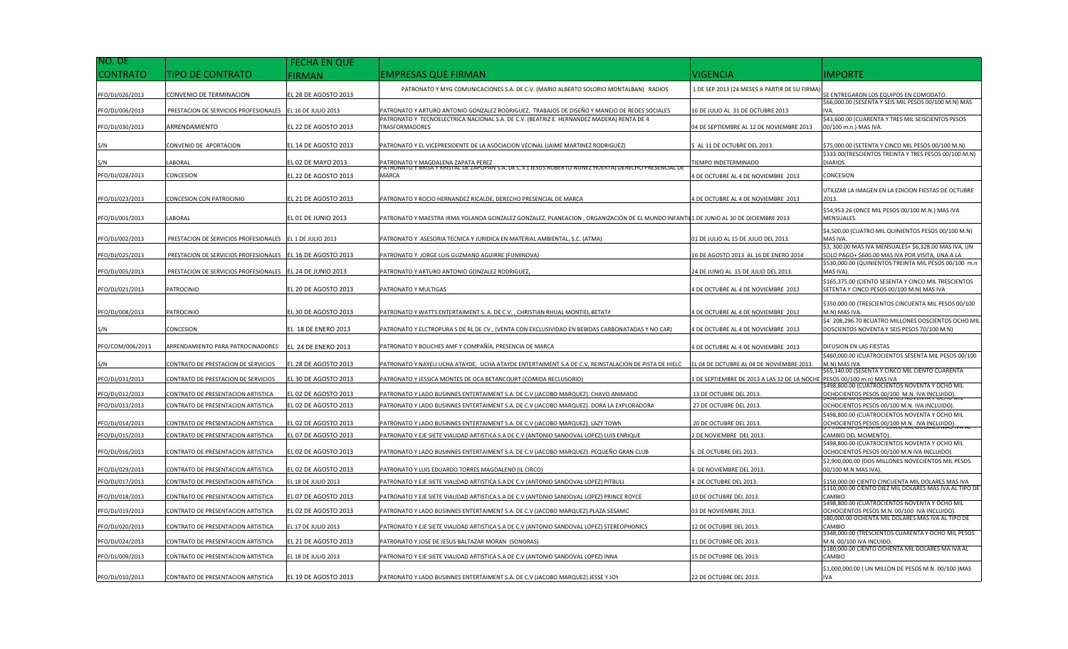| NO. DE           |                                                           | <b>FECHA EN QUE</b>  |                                                                                                                                      |                                              |                                                                                                                    |
|------------------|-----------------------------------------------------------|----------------------|--------------------------------------------------------------------------------------------------------------------------------------|----------------------------------------------|--------------------------------------------------------------------------------------------------------------------|
| CONTRATO         | TIPO DE CONTRATO                                          | <b>FIRMAN</b>        | <b>EMPRESAS QUE FIRMAN</b>                                                                                                           | <b>VIGENCIA</b>                              | IMPORTE                                                                                                            |
| PFO/DJ/026/2013  | CONVENIO DE TERMINACION                                   | EL 28 DE AGOSTO 2013 | PATRONATO Y MYG COMUNICACIONES S.A. DE C.V. (MARIO ALBERTO SOLORIO MONTALBAN) RADIOS                                                 | 1 DE SEP 2013 (24 MESES A PARTIR DE SU FIRMA | E ENTREGARON LOS EQUIPOS EN COMODATO.                                                                              |
| PFO/DJ/006/2013  | PRESTACION DE SERVICIOS PROFESIONALES                     | EL 16 DE JULIO 2013  | PATRONATO Y ARTURO ANTONIO GONZALEZ RODRIGUEZ, TRABAJOS DE DISEÑO Y MANEJO DE REDES SOCIALES                                         | 16 DE JULIO AL 31 DE OCTUBRE 2013            | \$66,000.00 (SESENTA Y SEIS MIL PESOS 00/100 M.N) MAS<br>IVA.                                                      |
| PFO/DJ/030/2013  | ARRENDAMIENTO                                             | EL 22 DE AGOSTO 2013 | PATRONATO Y TECNOELECTRICA NACIONAL S.A. DE C.V. (BEATRIZ E. HERNANDEZ MADERA) RENTA DE 4<br><b>TRASFORMADORES</b>                   | 04 DE SEPTIEMBRE AL 12 DE NOVIEMBRE 2013     | \$43,600.00 (CUARENTA Y TRES MIL SEISCIENTOS PESOS<br>00/100 m.n.) MAS IVA.                                        |
| S/N              | CONVENIO DE APORTACION                                    | EL 14 DE AGOSTO 2013 | PATRONATO Y EL VICEPRESIDENTE DE LA ASOCIACION VECINAL (JAIME MARTINEZ RODRIGUEZ)                                                    | AL 11 DE OCTUBRE DEL 2013.                   | \$75,000.00 (SETENTA Y CINCO MIL PESOS 00/100 M.N).                                                                |
| S/N              | LABORAL                                                   | L 02 DE MAYO 2013    | PATRONATO Y MAGDALENA ZAPATA PEREZ                                                                                                   | IEMPO INDETERMINADO                          | \$333.00(TRESCIENTOS TREINTA Y TRES PESOS 00/100 M.N)<br>DIARIOS.                                                  |
| PFO/DJ/028/2013  | CONCESION                                                 | EL 22 DE AGOSTO 2013 | ''ATRONATO Y BRISA Y KRISTAL DE ZAPOPAN S.A. DE C.V.( JESOS ROBERTO NONEZ HOERTA) DERECHO PRESENCIAL DE<br>MARCA                     | DE OCTUBRE AL 4 DE NOVIEMBRE 2013            | CONCESION                                                                                                          |
| PFO/DJ/023/2013  | CONCESION CON PATROCINIO                                  | EL 21 DE AGOSTO 2013 | PATRONATO Y ROCIO HERNANDEZ RICALDE, DERECHO PRESENCIAL DE MARCA                                                                     | DE OCTUBRE AL 4 DE NOVIEMBRE 2013            | JTILIZAR LA IMAGEN EN LA EDICION FIESTAS DE OCTUBRE<br>2013.                                                       |
| PFO/DJ/001/2013  | LABORAL                                                   | EL 01 DE JUNIO 2013  | PATRONATO Y MAESTRA IRMA YOLANDA GONZALEZ GONZALEZ, PLANEACION , ORGANIZACIÓN DE EL MUNDO INFANTIL1 DE JUNIO AL 30 DE DICIEMBRE 2013 |                                              | \$54,953.26 (ONCE MIL PESOS 00/100 M.N.) MAS IVA<br>MENSUALES.                                                     |
| PFO/DJ/002/2013  | PRESTACION DE SERVICIOS PROFESIONALES EL 1 DE JULIO 2013  |                      | PATRONATO Y ASESORIA TECNICA Y JURIDICA EN MATERIAL AMBIENTAL, S.C. (ATMA)                                                           | 01 DE JULIO AL 15 DE JULIO DEL 2013.         | \$4,500.00 (CUATRO MIL QUINIENTOS PESOS 00/100 M.N)<br>MAS IVA.                                                    |
| PFO/DJ/025/2013  | PRESTACION DE SERVICIOS PROFESIONALES                     | EL 16 DE AGOSTO 2013 | PATRONATO Y JORGE LUIS GUZMAND AGUIRRE (FUMINOVA)                                                                                    | 6 DE AGOSTO 2013 AL 16 DE ENERO 2014         | \$3, 300.00 MAS IVA MENSUALES+ \$6,328.00 MAS IVA, UN<br>SOLO PAGO+ \$600.00 MAS IVA POR VISITA, UNA A LA          |
| PFO/DJ/005/2013  | PRESTACION DE SERVICIOS PROFESIONALES EL 24 DE JUNIO 2013 |                      | PATRONATO Y ARTURO ANTONIO GONZALEZ RODRIGUEZ,                                                                                       | 24 DE JUNIO AL 15 DE JULIO DEL 2013.         | \$530,000.00 (QUINIENTOS TREINTA MIL PESOS 00/100 m.n<br>MAS IVA)                                                  |
| PFO/DJ/021/2013  | PATROCINIO                                                | EL 20 DE AGOSTO 2013 | PATRONATO Y MULTIGAS                                                                                                                 | DE OCTUBRE AL 4 DE NOVIEMBRE 2013            | \$165,375.00 (CIENTO SESENTA Y CINCO MIL TRESCIENTOS<br>SETENTA Y CINCO PESOS 00/100 M.N) MAS IVA                  |
| PFO/DJ/008/2013  | PATROCINIO                                                | L 30 DE AGOSTO 2013  | PATRONATO Y WATTS ENTERTAIMENT S. A. DE C.V., CHRISTIAN RHUAL MONTIEL BETATA                                                         | 1 DE OCTUBRE AL 4 DE NOVIEMBRE 2013          | \$350.000.00 (TRESCIENTOS CINCUENTA MIL PESOS 00/100<br>M.N) MAS IVA                                               |
| S/N              | CONCESION                                                 | EL 18 DE ENERO 2013  | PATRONATO Y ELCTROPURA S DE RL DE CV., (VENTA CON EXCLUSIVIDAD EN BEBIDAS CARBONATADAS Y NO CAR)                                     | 4 DE OCTUBRE AL 4 DE NOVIEMBRE 2013          | \$4' 208,296.70 8CUATRO MILLONES DOSCIENTOS OCHO MII<br>DOSCIENTOS NOVENTA Y SEIS PESOS 70/100 M.N)                |
| PFO/COM/006/2013 | ARRENDAMIENTO PARA PATROCINADORES                         | EL 24 DE ENERO 2013  | PATRONATO Y BOLICHES AMF Y COMPAÑÍA, PRESENCIA DE MARCA                                                                              | 1 DE OCTUBRE AL 4 DE NOVIEMBRE 2013          | DIFUSION EN LAS FIESTAS                                                                                            |
| S/N              | CONTRATO DE PRESTACION DE SERVICIOS                       | EL 28 DE AGOSTO 2013 | PATRONATO Y NAYELI UCHA ATAYDE, UCHA ATAYDE ENTERTAIMENT S.A DE C.V, REINSTALACION DE PISTA DE HIELC                                 | EL 04 DE OCTUBRE AL 04 DE NOVIEMBRE 2013     | \$460,000.00 (CUATROCIENTOS SESENTA MIL PESOS 00/100<br>M.N) MAS IVA                                               |
| PFO/DJ/031/2013  | CONTRATO DE PRESTACION DE SERVICIOS                       | EL 30 DE AGOSTO 2013 | PATRONATO Y JESSICA MONTES DE OCA BETANCOURT (COMIDA RECLUSORIO)                                                                     | DE SEPTIEMBRE DE 2013 A LAS 12 DE LA NOCHE   | \$65,140.00 (SESENTA Y CINCO MIL CIENTO CUARENTA<br>PESOS 00/100 m.n) MAS IVA                                      |
| PFO/DJ/012/2013  | CONTRATO DE PRESENTACION ARTISTICA                        | EL 02 DE AGOSTO 2013 | PATRONATO Y LADO BUSINNES ENTERTAIMENT S.A. DE C.V (JACOBO MARQUEZ). CHAVO ANIMADO                                                   | 13 DE OCTUBRE DEL 2013.                      | 6498,800.00 (CUATROCIENTOS NOVENTA Y OCHO MIL<br>OCHOCIENTOS PESOS 00/100 M.N. IVA INCLUIDO).                      |
| PFO/DJ/013/2013  | CONTRATO DE PRESENTACION ARTISTICA                        | EL 02 DE AGOSTO 2013 | PATRONATO Y LADO BUSINNES ENTERTAIMENT S.A. DE C.V (JACOBO MARQUEZ). DORA LA EXPLORADORA                                             | 27 DE OCTUBRE DEL 2013.                      | OCHOCIENTOS PESOS 00/100 M.N. IVA INCLUIDO).                                                                       |
| PFO/DJ/014/2013  | CONTRATO DE PRESENTACION ARTISTICA                        | EL 02 DE AGOSTO 2013 | PATRONATO Y LADO BUSINNES ENTERTAIMENT S.A. DE C.V (JACOBO MARQUEZ). LAZY TOWN                                                       | 20 DE OCTUBRE DEL 2013.                      | \$498,800.00 (CUATROCIENTOS NOVENTA Y OCHO MIL<br>OCHOCIENTOS PESOS 00/100 M.N. IVA INCLUIDO)                      |
| PFO/DJ/015/2013  | CONTRATO DE PRESENTACION ARTISTICA                        | EL 07 DE AGOSTO 2013 | PATRONATO Y EJE SIETE VIALIDAD ARTISTICA S.A DE C.V (ANTONIO SANDOVAL LOPEZ) LUIS ENRIQUE                                            | 2 DE NOVIEMBRE DEL 2013                      | CAMBIO DEL MOMENTO).                                                                                               |
| PFO/DJ/016/2013  | CONTRATO DE PRESENTACION ARTISTICA                        | L 02 DE AGOSTO 2013  | PATRONATO Y LADO BUSINNES ENTERTAIMENT S.A. DE C.V (JACOBO MARQUEZ). PEQUEÑO GRAN CLUB                                               | DE OCTUBRE DEL 2013.                         | \$498,800.00 (CUATROCIENTOS NOVENTA Y OCHO MIL<br>OCHOCIENTOS PESOS 00/100 M.N IVA INCLUIDO)                       |
| PFO/DJ/029/2013  | CONTRATO DE PRESENTACION ARTISTICA                        | EL 02 DE AGOSTO 2013 | PATRONATO Y LUIS EDUARDO TORRES MAGDALENO (IL CIRCO)                                                                                 | DE NOVIEMBRE DEL 2013.                       | \$2,900,000.00 (DOS MILLONES NOVECIENTOS MIL PESOS<br>00/100 M.N MAS IVA).                                         |
| PFO/DJ/017/2013  | CONTRATO DE PRESENTACION ARTISTICA                        | EL 18 DE JULIO 2013  | PATRONATO Y EJE SIETE VIALIDAD ARTISTICA S.A DE C.V (ANTONIO SANDOVAL LOPEZ) PITBULL                                                 | DE OCTUBRE DEL 2013.                         | 150,000.00 CIENTO CINCUENTA MIL DOLARES MAS IVA                                                                    |
| PFO/DJ/018/2013  | CONTRATO DE PRESENTACION ARTISTICA                        | EL 07 DE AGOSTO 2013 | PATRONATO Y EJE SIETE VIALIDAD ARTISTICA S.A DE C.V (ANTONIO SANDOVAL LOPEZ) PRINCE ROYCE                                            | 0 DE OCTUBRE DEL 2013.                       | 3110,000.00 CIENTO DIEZ MIL DOLARES MAS IVA AL TIPO DE<br>CAMBIO<br>\$498,800.00 (CUATROCIENTOS NOVENTA Y OCHO MIL |
| PFO/DJ/019/2013  | CONTRATO DE PRESENTACION ARTISTICA                        | EL 02 DE AGOSTO 2013 | PATRONATO Y LADO BUSINNES ENTERTAIMENT S.A. DE C.V (JACOBO MARQUEZ).PLAZA SESAMO                                                     | 03 DE NOVIEMBRE 2013.                        | OCHOCIENTOS PESOS M.N. 00/100 IVA INCLUIDO)                                                                        |
| PFO/DJ/020/2013  | CONTRATO DE PRESENTACION ARTISTICA                        | EL 17 DE JULIO 2013  | PATRONATO Y EJE SIETE VIALIDAD ARTISTICA S.A DE C.V (ANTONIO SANDOVAL LOPEZ) STEREOPHONICS                                           | 2 DE OCTUBRE DEL 2013.                       | \$80,000.00 OCHENTA MIL DOLARES MAS IVA AL TIPO DE<br>CAMBIO                                                       |
| PFO/DJ/024/2013  | CONTRATO DE PRESENTACION ARTISTICA                        | EL 21 DE AGOSTO 2013 | PATRONATO Y JOSE DE JESUS BALTAZAR MORAN (SONORAS)                                                                                   | 11 DE OCTUBRE DEL 2013.                      | \$348,000.00 (TRESCIENTOS CUARENTA Y OCHO MIL PESOS<br>M.N. 00/100 IVA INCUIDO.                                    |
| PFO/DJ/009/2013  | CONTRATO DE PRESENTACION ARTISTICA                        | L 18 DE JULIO 2013   | PATRONATO Y EJE SIETE VIALIDAD ARTISTICA S.A DE C.V (ANTONIO SANDOVAL LOPEZ) INNA                                                    | 5 DE OCTUBRE DEL 2013                        | \$180,000.00 CIENTO OCHENTA MIL DOLARES MA IVA AL<br>CAMBIO                                                        |
| PFO/DJ/010/2013  | CONTRATO DE PRESENTACION ARTISTICA                        | EL 19 DE AGOSTO 2013 | PATRONATO Y LADO BUSINNES ENTERTAIMENT S.A. DE C.V (JACOBO MARQUEZ).JESSE Y JOY                                                      | 22 DE OCTUBRE DEL 2013.                      | \$1,000,000.00 (UN MILLON DE PESOS M.N. 00/100 )MAS<br><b>IVA</b>                                                  |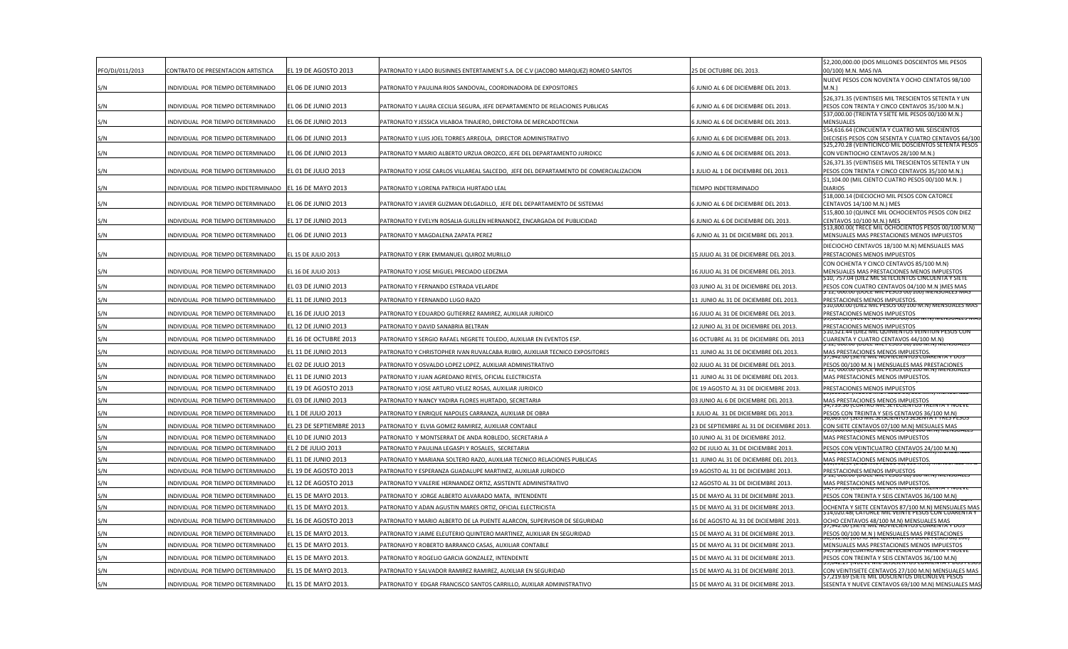| PFO/DJ/011/2013 | CONTRATO DE PRESENTACION ARTISTICA  | EL 19 DE AGOSTO 2013       | PATRONATO Y LADO BUSINNES ENTERTAIMENT S.A. DE C.V (JACOBO MARQUEZ) ROMEO SANTOS     | 25 DE OCTUBRE DEL 2013                    | \$2,200,000.00 (DOS MILLONES DOSCIENTOS MIL PESOS<br>00/100) M.N. MAS IVA                                 |
|-----------------|-------------------------------------|----------------------------|--------------------------------------------------------------------------------------|-------------------------------------------|-----------------------------------------------------------------------------------------------------------|
| S/N             | INDIVIDUAL POR TIEMPO DETERMINADO   | L 06 DE JUNIO 2013         | PATRONATO Y PAULINA RIOS SANDOVAL, COORDINADORA DE EXPOSITORES                       | 5 JUNIO AL 6 DE DICIEMBRE DEL 2013.       | NUEVE PESOS CON NOVENTA Y OCHO CENTATOS 98/100<br>M.N.)                                                   |
|                 | INDIVIDUAL POR TIEMPO DETERMINADO   | EL 06 DE JUNIO 2013        | PATRONATO Y LAURA CECILIA SEGURA, JEFE DEPARTAMENTO DE RELACIONES PUBLICAS           | 5 JUNIO AL 6 DE DICIEMBRE DEL 2013.       | \$26,371.35 (VEINTISEIS MIL TRESCIENTOS SETENTA Y UN<br>PESOS CON TRENTA Y CINCO CENTAVOS 35/100 M.N.)    |
| S/N             |                                     |                            |                                                                                      |                                           | \$37,000.00 (TREINTA Y SIETE MIL PESOS 00/100 M.N.)                                                       |
| S/N             | INDIVIDUAL POR TIEMPO DETERMINADO   | <b>EL 06 DE JUNIO 2013</b> | PATRONATO Y JESSICA VILABOA TINAJERO, DIRECTORA DE MERCADOTECNIA                     | JUNIO AL 6 DE DICIEMBRE DEL 2013.         | MFNSUALFS<br>\$54,616.64 (CINCUENTA Y CUATRO MIL SEISCIENTOS                                              |
| S/N             | INDIVIDUAL POR TIEMPO DETERMINADO   | L 06 DE JUNIO 2013         | PATRONATO Y LUIS JOEL TORRES ARREOLA, DIRECTOR ADMINISTRATIVO                        | 6 JUNIO AL 6 DE DICIEMBRE DEL 2013.       | DIECISEIS PESOS CON SESENTA Y CUATRO CENTAVOS 64/100                                                      |
| S/N             | INDIVIDUAL POR TIEMPO DETERMINADO   | EL 06 DE JUNIO 2013        | PATRONATO Y MARIO ALBERTO URZUA OROZCO, JEFE DEL DEPARTAMENTO JURIDICO               | 6 JUNIO AL 6 DE DICIEMBRE DEL 2013.       | \$25,270.28 (VEINTICINCO MIL DOSCIENTOS SETENTA PESOS<br>CON VEINTIOCHO CENTAVOS 28/100 M.N.)             |
|                 |                                     |                            |                                                                                      |                                           | \$26,371.35 (VEINTISEIS MIL TRESCIENTOS SETENTA Y UN                                                      |
| S/N             | INDIVIDUAL POR TIEMPO DETERMINADO   | <b>EL 01 DE JULIO 2013</b> | PATRONATO Y JOSE CARLOS VILLAREAL SALCEDO, JEFE DEL DEPARTAMENTO DE COMERCIALIZACION | 1 JULIO AL 1 DE DICIEMBRE DEL 2013.       | PESOS CON TRENTA Y CINCO CENTAVOS 35/100 M.N.)<br>\$1,104.00 (MIL CIENTO CUATRO PESOS 00/100 M.N.)        |
| S/N             | INDIVIDUAL POR TIEMPO INDETERMINADO | L 16 DE MAYO 2013          | PATRONATO Y LORENA PATRICIA HURTADO LEAL                                             | TIEMPO INDETERMINADO                      | DIARIOS                                                                                                   |
| S/N             | INDIVIDUAL POR TIEMPO DETERMINADO   | L 06 DE JUNIO 2013         | PATRONATO Y JAVIER GUZMAN DELGADILLO, JEFE DEL DEPARTAMENTO DE SISTEMAS              | 5 JUNIO AL 6 DE DICIEMBRE DEL 2013.       | \$18,000.14 (DIECIOCHO MIL PESOS CON CATORCE<br>CENTAVOS 14/100 M.N.) MES                                 |
| S/N             | INDIVIDUAL POR TIEMPO DETERMINADO   | L 17 DE JUNIO 2013         | PATRONATO Y EVELYN ROSALIA GUILLEN HERNANDEZ, ENCARGADA DE PUBLICIDAD                | 5 JUNIO AL 6 DE DICIEMBRE DEL 2013.       | \$15,800.10 (QUINCE MIL OCHOCIENTOS PESOS CON DIEZ<br>CENTAVOS 10/100 M.N.) MES                           |
|                 |                                     |                            |                                                                                      |                                           | \$13,800.00(TRECE MIL OCHOCIENTOS PESOS 00/100 M.N)                                                       |
| S/N             | INDIVIDUAL POR TIEMPO DETERMINADO   | L 06 DE JUNIO 2013         | PATRONATO Y MAGDALENA ZAPATA PEREZ                                                   | 6 JUNIO AL 31 DE DICIEMBRE DEL 2013.      | MENSUALES MAS PRESTACIONES MENOS IMPUESTOS                                                                |
| S/N             | INDIVIDUAL POR TIEMPO DETERMINADO   | EL 15 DE JULIO 2013        | PATRONATO Y ERIK EMMANUEL QUIROZ MURILLO                                             | 15 JULIO AL 31 DE DICIEMBRE DEL 2013.     | DIECIOCHO CENTAVOS 18/100 M.N) MENSUALES MAS<br>PRESTACIONES MENOS IMPUESTOS                              |
| S/N             | INDIVIDUAL POR TIEMPO DETERMINADO   | EL 16 DE JULIO 2013        | PATRONATO Y JOSE MIGUEL PRECIADO LEDEZMA                                             | 16 JULIO AL 31 DE DICIEMBRE DEL 2013.     | CON OCHENTA Y CINCO CENTAVOS 85/100 M.N)<br>MENSUALES MAS PRESTACIONES MENOS IMPUESTOS                    |
| S/N             | INDIVIDUAL POR TIEMPO DETERMINADO   | L 03 DE JUNIO 2013         | PATRONATO Y FERNANDO ESTRADA VELARDE                                                 | 03 JUNIO AL 31 DE DICIEMBRE DEL 2013.     | Ș10, 757.04 (DIEZ MIL SETECIENTOS CINCUENTA Y SIETE<br>PESOS CON CUATRO CENTAVOS 04/100 M.N ) MES MAS     |
| S/N             | INDIVIDUAL POR TIEMPO DETERMINADO   | L 11 DE JUNIO 2013         | PATRONATO Y FERNANDO LUGO RAZO                                                       | 11 JUNIO AL 31 DE DICIEMBRE DEL 2013.     | 12, UUU.UU (DOCE MIL PESOS UU/100) MENSUALES MAS<br>PRESTACIONES MENOS IMPUESTOS.                         |
|                 |                                     |                            |                                                                                      |                                           | 510,000.00 (DIEZ MIL PESOS 00/100 M.N) MENSUALES MAS                                                      |
| S/N             | INDIVIDUAL POR TIEMPO DETERMINADO   | L 16 DE JULIO 2013         | PATRONATO Y EDUARDO GUTIERREZ RAMIREZ, AUXILIAR JURIDICO                             | 16 JULIO AL 31 DE DICIEMBRE DEL 2013.     | PRESTACIONES MENOS IMPUESTOS                                                                              |
| S/N             | INDIVIDUAL POR TIEMPO DETERMINADO   | L 12 DE JUNIO 2013         | PATRONATO Y DAVID SANABRIA BELTRAN                                                   | 12 JUNIO AL 31 DE DICIEMBRE DEL 2013.     | PRESTACIONES MENOS IMPUESTOS<br>ȘIU,521.44 (DIEZ MIL QUINIENTOS VEINTIUN PESOS COP                        |
| S/N             | INDIVIDUAL POR TIEMPO DETERMINADO   | L 16 DE OCTUBRE 2013       | PATRONATO Y SERGIO RAFAEL NEGRETE TOLEDO, AUXILIAR EN EVENTOS ESP.                   | 16 OCTUBRE AL 31 DE DICIEMBRE DEL 2013    | CUARENTA Y CUATRO CENTAVOS 44/100 M.N)                                                                    |
| S/N             | INDIVIDUAL POR TIEMPO DETERMINADO   | L 11 DE JUNIO 2013         | PATRONATO Y CHRISTOPHER IVAN RUVALCABA RUBIO, AUXILIAR TECNICO EXPOSITORES           | 11 JUNIO AL 31 DE DICIEMBRE DEL 2013.     | MAS PRESTACIONES MENOS IMPUESTOS.<br>7,942.00 (SIETE MIL NOVIECIENTOS COAREN                              |
| S/N             | INDIVIDUAL POR TIEMPO DETERMINADO   | L 02 DE JULIO 2013         | PATRONATO Y OSVALDO LOPEZ LOPEZ, AUXILIAR ADMINISTRATIVO                             | 02 JULIO AL 31 DE DICIEMBRE DEL 2013.     | PESOS 00/100 M.N ) MENSUALES MAS PRESTACIONES                                                             |
| S/N             | INDIVIDUAL POR TIEMPO DETERMINADO   | L 11 DE JUNIO 2013         | PATRONATO Y JUAN AGREDANO REYES, OFICIAL ELECTRICISTA                                | 11 JUNIO AL 31 DE DICIEMBRE DEL 2013.     | MAS PRESTACIONES MENOS IMPUESTOS.                                                                         |
| S/N             | INDIVIDUAL POR TIEMPO DETERMINADO   | L 19 DE AGOSTO 2013        | PATRONATO Y JOSE ARTURO VELEZ ROSAS, AUXILIAR JURIDICO                               | DE 19 AGOSTO AL 31 DE DICIEMBRE 2013.     | PRESTACIONES MENOS IMPUESTOS                                                                              |
| S/N             | INDIVIDUAL POR TIEMPO DETERMINADO   | EL 03 DE JUNIO 2013        | PATRONATO Y NANCY YADIRA FLORES HURTADO, SECRETARIA                                  | 03 JUNIO AL 6 DE DICIEMBRE DEL 2013.      | MAS PRESTACIONES MENOS IMPUESTOS<br>4,739.36 (CUATRO MIL SETECIENTOS TREINTA Y NUE                        |
| S/N             | INDIVIDUAL POR TIEMPO DETERMINADO   | EL 1 DE JULIO 2013         | PATRONATO Y ENRIQUE NAPOLES CARRANZA, AUXILIAR DE OBRA                               | 1 JULIO AL 31 DE DICIEMBRE DEL 2013.      | PESOS CON TREINTA Y SEIS CENTAVOS 36/100 M.N)<br>0,003.U7 (SEIS IVIIL SEISLIEIVIUS SESEIVIA T TRES PES    |
| S/N             | INDIVIDUAL POR TIEMPO DETERMINADO   | L 23 DE SEPTIEMBRE 2013    | PATRONATO Y ELVIA GOMEZ RAMIREZ, AUXILIAR CONTABLE                                   | 23 DE SEPTIEMBRE AL 31 DE DICIEMBRE 2013. | CON SIETE CENTAVOS 07/100 M.N) MESUALES MAS                                                               |
| S/N             | INDIVIDUAL POR TIEMPO DETERMINADO   | L 10 DE JUNIO 2013         | PATRONATO Y MONTSERRAT DE ANDA ROBLEDO, SECRETARIA A                                 | 10 JUNIO AL 31 DE DICIEMBRE 2012.         | MAS PRESTACIONES MENOS IMPUESTOS                                                                          |
| S/N             | INDIVIDUAL POR TIEMPO DETERMINADO   | L 2 DE JULIO 2013          | PATRONATO Y PAULINA LEGASPI Y ROSALES, SECRETARIA                                    | 02 DE JULIO AL 31 DE DICIEMBRE 2013.      | PESOS CON VEINTICUATRO CENTAVOS 24/100 M.N)                                                               |
| S/N             | INDIVIDUAL POR TIEMPO DETERMINADO   | L 11 DE JUNIO 2013         | PATRONATO Y MARIANA SOLTERO RAZO, AUXILIAR TECNICO RELACIONES PUBLICAS               | 11 JUNIO AL 31 DE DICIEMBRE DEL 2013.     | MAS PRESTACIONES MENOS IMPUESTOS.                                                                         |
| S/N             | INDIVIDUAL POR TIEMPO DETERMINADO   | L 19 DE AGOSTO 2013        | PATRONATO Y ESPERANZA GUADALUPE MARTINEZ, AUXILIAR JURIDICO                          | 19 AGOSTO AL 31 DE DICIEMBRE 2013.        | PRESTACIONES MENOS IMPUESTOS<br><b>IZ, UUU.UU (DUCE IVIIL PESUS UU/IUU IV</b>                             |
| S/N             | INDIVIDUAL POR TIEMPO DETERMINADO   | L 12 DE AGOSTO 2013        | PATRONATO Y VALERIE HERNANDEZ ORTIZ, ASISTENTE ADMINISTRATIVC                        | 12 AGOSTO AL 31 DE DICIEMBRE 2013.        | MAS PRESTACIONES MENOS IMPUESTOS.                                                                         |
| S/N             | INDIVIDUAL POR TIEMPO DETERMINADO   | L 15 DE MAYO 2013.         | PATRONATO Y JORGE ALBERTO ALVARADO MATA, INTENDENTE                                  | 15 DE MAYO AL 31 DE DICIEMBRE 2013.       | PESOS CON TREINTA Y SEIS CENTAVOS 36/100 M.N)                                                             |
| S/N             | INDIVIDUAL POR TIEMPO DETERMINADO   | EL 15 DE MAYO 2013.        | PATRONATO Y ADAN AGUSTIN MARES ORTIZ, OFICIAL ELECTRICISTA                           | 15 DE MAYO AL 31 DE DICIEMBRE 2013.       | OCHENTA Y SIETE CENTAVOS 87/100 M.N) MENSUALES MAS<br>514,020.48( CATORCE MIL VEINTE PESOS CON CUARENTA Y |
| S/N             | INDIVIDUAL POR TIEMPO DETERMINADO   | L 16 DE AGOSTO 2013        | PATRONATO Y MARIO ALBERTO DE LA PUENTE ALARCON, SUPERVISOR DE SEGURIDAD              | 16 DE AGOSTO AL 31 DE DICIEMBRE 2013.     | OCHO CENTAVOS 48/100 M.N) MENSUALES MAS<br>FZ.UU (SIETE IVIIL NUVIECIÉNTUS CUAR                           |
| 5/N             | INDIVIDUAL POR TIEMPO DETERMINADO   | L 15 DE MAYO 2013.         | PATRONATO Y JAIME ELEUTERIO QUINTERO MARTINEZ, AUXILIAR EN SEGURIDAD                 | 15 DE MAYO AL 31 DE DICIEMBRE 2013.       | PESOS 00/100 M.N ) MENSUALES MAS PRESTACIONES                                                             |
| S/N             | INDIVIDUAL POR TIEMPO DETERMINADO   | L 15 DE MAYO 2013.         | PATRONAYO Y ROBERTO BARRANCO CASAS, AUXILIAR CONTABLE                                | 15 DE MAYO AL 31 DE DICIEMBRE 2013.       | MENSUALES MAS PRESTACIONES MENOS IMPUESTOS<br>,739.30 (COATRO IVIIL SETECIENTOS TREINTA T INOE            |
| 5/N             | INDIVIDUAL POR TIEMPO DETERMINADO   | L 15 DE MAYO 2013.         | PATRONATO Y ROGELIO GARCIA GONZALEZ, INTENDENTE                                      | 15 DE MAYO AL 31 DE DICIEMBRE 2013.       | PESOS CON TREINTA Y SEIS CENTAVOS 36/100 M.N)<br>3.042.27 INUEVE IVIIL SEISLIENTUS CUAREIVTA T DUS        |
| S/N             | INDIVIDUAL POR TIEMPO DETERMINADO   | L 15 DE MAYO 2013.         | PATRONATO Y SALVADOR RAMIREZ RAMIREZ, AUXILIAR EN SEGURIDAD                          | 15 DE MAYO AL 31 DE DICIEMBRE 2013        | CON VEINTISIETE CENTAVOS 27/100 M.N) MENSUALES MAS<br>V,219.69 (SIETE MIL DOSCIENTOS DIECINOEVE PESOS     |
| S/N             | INDIVIDUAL POR TIEMPO DETERMINADO   | EL 15 DE MAYO 2013.        | PATRONATO Y EDGAR FRANCISCO SANTOS CARRILLO, AUXILAR ADMINISTRATIVO                  | 15 DE MAYO AL 31 DE DICIEMBRE 2013        | SESENTA Y NUEVE CENTAVOS 69/100 M.N) MENSUALES MAS                                                        |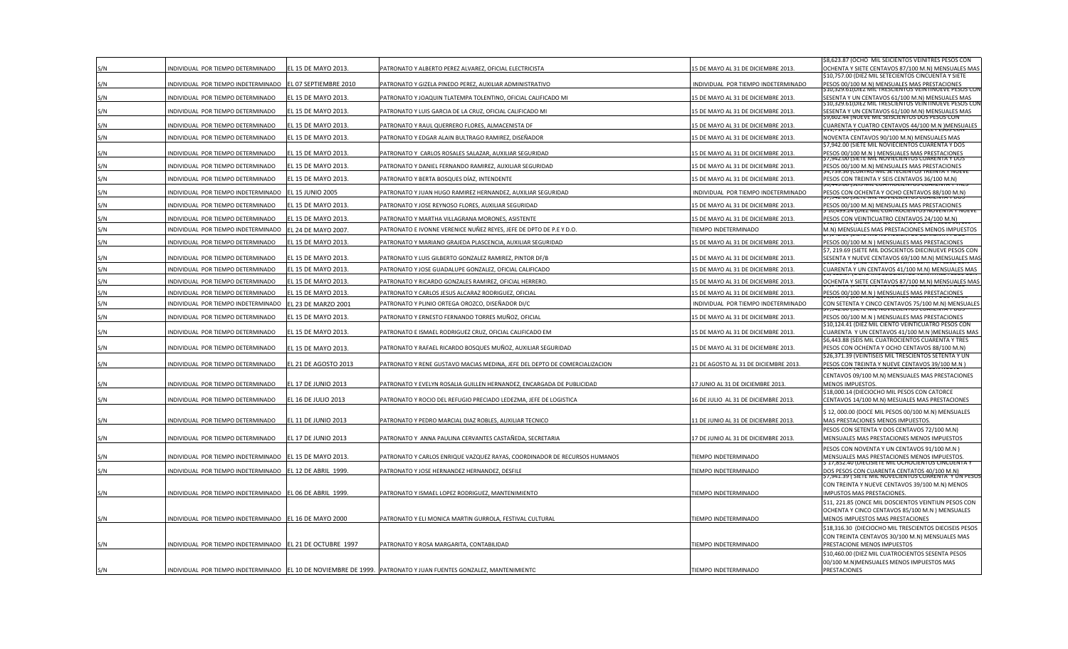|     |                                                           |                            |                                                                                                                  |                                      | \$8,623.87 (OCHO MIL SEICIENTOS VEINITRES PESOS CON                                                                                                   |
|-----|-----------------------------------------------------------|----------------------------|------------------------------------------------------------------------------------------------------------------|--------------------------------------|-------------------------------------------------------------------------------------------------------------------------------------------------------|
| S/N | NDIVIDUAL POR TIEMPO DETERMINADO                          | EL 15 DE MAYO 2013.        | PATRONATO Y ALBERTO PEREZ ALVAREZ, OFICIAL ELECTRICISTA                                                          | 5 DE MAYO AL 31 DE DICIEMBRE 2013.   | OCHENTA Y SIETE CENTAVOS 87/100 M.N) MENSUALES MA!<br>\$10,757.00 (DIEZ MIL SETECIENTOS CINCUENTA Y SIETE                                             |
| S/N | INDIVIDUAL POR TIEMPO INDETERMINADO                       | EL 07 SEPTIEMBRE 2010      | PATRONATO Y GIZELA PINEDO PEREZ, AUXILIAR ADMINISTRATIVO                                                         | NDIVIDUAL POR TIEMPO INDETERMINADO   | ESOS 00/100 M.N) MENSUALES MAS PRESTACIONES<br>510,329.61(DIEZ MIL TRESCIENTOS VEINTINUEVE PESOS CO                                                   |
| S/N | INDIVIDUAL POR TIEMPO DETERMINADO                         | EL 15 DE MAYO 2013.        | PATRONATO Y JOAQUIN TLATEMPA TOLENTINO, OFICIAL CALIFICADO MI                                                    | 5 DE MAYO AL 31 DE DICIEMBRE 2013.   | SESENTA Y UN CENTAVOS 61/100 M.N) MENSUALES MAS<br>S10,329.61(DIEZ MIL TRESCIENTOS VEINTINUEVE PESOS CO                                               |
| S/N | INDIVIDUAL POR TIEMPO DETERMINADO                         | EL 15 DE MAYO 2013.        | PATRONATO Y LUIS GARCIA DE LA CRUZ, OFICIAL CALIFICADO MI                                                        | 5 DE MAYO AL 31 DE DICIEMBRE 2013.   | SESENTA Y UN CENTAVOS 61/100 M.N) MENSUALES MAS<br>Ș9,602.44 (NUEVE MIL SEISCIENTOS DOS PESOS CON                                                     |
| S/N | INDIVIDUAL POR TIEMPO DETERMINADO                         | L 15 DE MAYO 2013.         | PATRONATO Y RAUL QUERRERO FLORES, ALMACENISTA DF                                                                 | 5 DE MAYO AL 31 DE DICIEMBRE 2013.   | CUARENTA Y CUATRO CENTAVOS 44/100 M.N ) MENSUALES                                                                                                     |
| S/N | INDIVIDUAL POR TIEMPO DETERMINADO                         | EL 15 DE MAYO 2013.        | PATRONATO Y EDGAR ALAIN BULTRAGO RAMIREZ, DISEÑADOR                                                              | 15 DE MAYO AL 31 DE DICIEMBRE 2013.  | NOVENTA CENTAVOS 90/100 M.N) MENSUALES MAS                                                                                                            |
| S/N | INDIVIDUAL POR TIEMPO DETERMINADO                         | L 15 DE MAYO 2013.         | PATRONATO Y CARLOS ROSALES SALAZAR, AUXILIAR SEGURIDAD                                                           | 5 DE MAYO AL 31 DE DICIEMBRE 2013.   | \$7,942.00 (SIETE MIL NOVIECIENTOS CUARENTA Y DOS<br>PESOS 00/100 M.N ) MENSUALES MAS PRESTACIONES                                                    |
| S/N | INDIVIDUAL POR TIEMPO DETERMINADO                         | EL 15 DE MAYO 2013.        | PATRONATO Y DANIEL FERNANDO RAMIREZ, AUXILIAR SEGURIDAD                                                          | 5 DE MAYO AL 31 DE DICIEMBRE 2013.   | S7,942.00 (SIETE MIL NOVIECIENTOS CUARENTA Y DOS<br>PESOS 00/100 M.N) MENSUALES MAS PRESTACIONES<br>\$4,739.36 (CUATRO MIL SETECIENTOS TREINTA Y NOEV |
| S/N | INDIVIDUAL POR TIEMPO DETERMINADO                         | EL 15 DE MAYO 2013.        | PATRONATO Y BERTA BOSQUES DÍAZ, INTENDENTE                                                                       | 15 DE MAYO AL 31 DE DICIEMBRE 2013.  | PESOS CON TREINTA Y SEIS CENTAVOS 36/100 M.N)                                                                                                         |
| S/N | INDIVIDUAL POR TIEMPO INDETERMINADO                       | <b>EL 15 JUNIO 2005</b>    | PATRONATO Y JUAN HUGO RAMIREZ HERNANDEZ, AUXILIAR SEGURIDAD                                                      | INDIVIDUAL POR TIEMPO INDETERMINADO  | <b>0.445.66 ISEIS IVIIL CUATRUCIENTUS CUARENTA T-IR</b><br>PESOS CON OCHENTA Y OCHO CENTAVOS 88/100 M.N)                                              |
|     |                                                           |                            |                                                                                                                  |                                      | 7,942.00 (SIETE MIL NOVIECIENTOS CUARENTA Y DOS                                                                                                       |
| S/N | INDIVIDUAL POR TIEMPO DETERMINADO                         | EL 15 DE MAYO 2013.        | PATRONATO Y JOSE REYNOSO FLORES, AUXILIAR SEGURIDAD                                                              | 5 DE MAYO AL 31 DE DICIEMBRE 2013.   | ESOS 00/100 M.N) MENSUALES MAS PRESTACIONES<br>, 10,499.24 (DIEZ MIL CUATROCIENTOS NOVENTA Y NUEVE                                                    |
| S/N | INDIVIDUAL POR TIEMPO DETERMINADO                         | EL 15 DE MAYO 2013.        | PATRONATO Y MARTHA VILLAGRANA MORONES, ASISTENTE                                                                 | 5 DE MAYO AL 31 DE DICIEMBRE 2013.   | PESOS CON VEINTICUATRO CENTAVOS 24/100 M.N)                                                                                                           |
| S/N | INDIVIDUAL POR TIEMPO INDETERMINADO                       | EL 24 DE MAYO 2007.        | PATRONATO E IVONNE VERENICE NUÑEZ REYES, JEFE DE DPTO DE P.E Y D.O.                                              | <b>IEMPO INDETERMINADO</b>           | VI.N) MENSUALES MAS PRESTACIONES MENOS IMPUESTOS                                                                                                      |
| S/N | INDIVIDUAL POR TIEMPO DETERMINADO                         | EL 15 DE MAYO 2013.        | PATRONATO Y MARIANO GRAJEDA PLASCENCIA, AUXILIAR SEGURIDAD                                                       | L5 DE MAYO AL 31 DE DICIEMBRE 2013.  | PESOS 00/100 M.N ) MENSUALES MAS PRESTACIONES<br>\$7, 219.69 (SIETE MIL DOSCIENTOS DIECINUEVE PESOS CON                                               |
| S/N | INDIVIDUAL POR TIEMPO DETERMINADO                         | EL 15 DE MAYO 2013.        | PATRONATO Y LUIS GILBERTO GONZALEZ RAMIREZ, PINTOR DF/B                                                          | L5 DE MAYO AL 31 DE DICIEMBRE 2013.  | SESENTA Y NUEVE CENTAVOS 69/100 M.N) MENSUALES MAS                                                                                                    |
| S/N | INDIVIDUAL POR TIEMPO DETERMINADO                         | EL 15 DE MAYO 2013.        | PATRONATO Y JOSE GUADALUPE GONZALEZ, OFICIAL CALIFICADO                                                          | 15 DE MAYO AL 31 DE DICIEMBRE 2013.  | CUARENTA Y UN CENTAVOS 41/100 M.N) MENSUALES MAS                                                                                                      |
| S/N | INDIVIDUAL POR TIEMPO DETERMINADO                         | EL 15 DE MAYO 2013.        | PATRONATO Y RICARDO GONZALES RAMIREZ, OFICIAL HERRERO.                                                           | 15 DE MAYO AL 31 DE DICIEMBRE 2013.  | OCHENTA Y SIETE CENTAVOS 87/100 M.N) MENSUALES MAS                                                                                                    |
| S/N | INDIVIDUAL POR TIEMPO DETERMINADO                         | L 15 DE MAYO 2013.         | PATRONATO Y CARLOS JESUS ALCARAZ RODRIGUEZ, OFICIAL                                                              | 5 DE MAYO AL 31 DE DICIEMBRE 2013.   | PESOS 00/100 M.N ) MENSUALES MAS PRESTACIONES                                                                                                         |
| S/N | INDIVIDUAL POR TIEMPO INDETERMINADO                       | EL 23 DE MARZO 2001        | PATRONATO Y PLINIO ORTEGA OROZCO, DISEÑADOR DI/C                                                                 | INDIVIDUAL POR TIEMPO INDETERMINADO  | CON SETENTA Y CINCO CENTAVOS 75/100 M.N) MENSUALES                                                                                                    |
| S/N | INDIVIDUAL POR TIEMPO DETERMINADO                         | EL 15 DE MAYO 2013.        | PATRONATO Y ERNESTO FERNANDO TORRES MUÑOZ, OFICIAL                                                               | L5 DE MAYO AL 31 DE DICIEMBRE 2013.  | ESOS 00/100 M.N ) MENSUALES MAS PRESTACIONES                                                                                                          |
| S/N | INDIVIDUAL POR TIEMPO DETERMINADO                         | EL 15 DE MAYO 2013.        | PATRONATO E ISMAEL RODRIGUEZ CRUZ, OFICIAL CALIFICADO EM                                                         | I5 DE MAYO AL 31 DE DICIEMBRE 2013.  | \$10,124.41 (DIEZ MIL CIENTO VEINTICUATRO PESOS CON<br>CUARENTA Y UN CENTAVOS 41/100 M.N ) MENSUALES MAS                                              |
|     |                                                           |                            |                                                                                                                  |                                      | \$6,443.88 (SEIS MIL CUATROCIENTOS CUARENTA Y TRES                                                                                                    |
| S/N | INDIVIDUAL POR TIEMPO DETERMINADO                         | EL 15 DE MAYO 2013.        | PATRONATO Y RAFAEL RICARDO BOSQUES MUÑOZ, AUXILIAR SEGURIDAD                                                     | L5 DE MAYO AL 31 DE DICIEMBRE 2013.  | PESOS CON OCHENTA Y OCHO CENTAVOS 88/100 M.N)<br>\$26,371.39 (VEINTISEIS MIL TRESCIENTOS SETENTA Y UN                                                 |
| S/N | INDIVIDUAL POR TIEMPO DETERMINADO                         | EL 21 DE AGOSTO 2013       | PATRONATO Y RENE GUSTAVO MACIAS MEDINA, JEFE DEL DEPTO DE COMERCIALIZACION                                       | 1 DE AGOSTO AL 31 DE DICIEMBRE 2013. | PESOS CON TREINTA Y NUEVE CENTAVOS 39/100 M.N )                                                                                                       |
|     |                                                           |                            |                                                                                                                  |                                      | CENTAVOS 09/100 M.N) MENSUALES MAS PRESTACIONES                                                                                                       |
| S/N | INDIVIDUAL POR TIEMPO DETERMINADO                         | EL 17 DE JUNIO 2013        | PATRONATO Y EVELYN ROSALIA GUILLEN HERNANDEZ, ENCARGADA DE PUBLICIDAD                                            | 17 JUNIO AL 31 DE DICIEMBRE 2013.    | MENOS IMPUESTOS.                                                                                                                                      |
| S/N | INDIVIDUAL POR TIEMPO DETERMINADO                         | EL 16 DE JULIO 2013        | PATRONATO Y ROCIO DEL REFUGIO PRECIADO LEDEZMA, JEFE DE LOGISTICA                                                | 16 DE JULIO AL 31 DE DICIEMBRE 2013. | \$18,000.14 (DIECIOCHO MIL PESOS CON CATORCE<br>CENTAVOS 14/100 M.N) MESUALES MAS PRESTACIONES                                                        |
|     |                                                           |                            |                                                                                                                  |                                      | \$12,000.00 (DOCE MIL PESOS 00/100 M.N) MENSUALES                                                                                                     |
| S/N | INDIVIDUAL POR TIEMPO DETERMINADO                         | EL 11 DE JUNIO 2013        | PATRONATO Y PEDRO MARCIAL DIAZ ROBLES, AUXILIAR TECNICO                                                          | 1 DE JUNIO AL 31 DE DICIEMBRE 2013.  | MAS PRESTACIONES MENOS IMPUESTOS.                                                                                                                     |
|     |                                                           |                            |                                                                                                                  |                                      | PESOS CON SETENTA Y DOS CENTAVOS 72/100 M.N)                                                                                                          |
| S/N | INDIVIDUAL POR TIEMPO DETERMINADO                         | <b>EL 17 DE JUNIO 2013</b> | PATRONATO Y ANNA PAULINA CERVANTES CASTAÑEDA, SECRETARIA                                                         | .7 DE JUNIO AL 31 DE DICIEMBRE 2013. | MENSUALES MAS PRESTACIONES MENOS IMPUESTOS                                                                                                            |
| S/N | INDIVIDUAL POR TIEMPO INDETERMINADO                       | EL 15 DE MAYO 2013.        | PATRONATO Y CARLOS ENRIQUE VAZQUEZ RAYAS, COORDINADOR DE RECURSOS HUMANOS                                        | IEMPO INDETERMINADO                  | PESOS CON NOVENTA Y UN CENTAVOS 91/100 M.N )<br>MENSUALES MAS PRESTACIONES MENOS IMPUESTOS.                                                           |
|     |                                                           |                            |                                                                                                                  |                                      | Ș 17,852.40 (DIECISIETE MIL OCHOCIENTOS CINCUENTA Y                                                                                                   |
| S/N | INDIVIDUAL POR TIEMPO INDETERMINADO                       | EL 12 DE ABRIL 1999.       | PATRONATO Y JOSE HERNANDEZ HERNANDEZ, DESFILE                                                                    | IEMPO INDETERMINADO                  | DOS PESOS CON CUARENTA CENTATOS 40/100 M.N)<br>Ş7,941.39 ( SIETE MIL NOVECIENTOS CUARENTA 'Y ÛN PESOS                                                 |
|     |                                                           |                            |                                                                                                                  |                                      | CON TREINTA Y NUEVE CENTAVOS 39/100 M.N) MENOS                                                                                                        |
| S/N | INDIVIDUAL POR TIEMPO INDETERMINADO                       | EL 06 DE ABRIL 1999.       | PATRONATO Y ISMAEL LOPEZ RODRIGUEZ, MANTENIMIENTO                                                                | IEMPO INDETERMINADO                  | MPUSTOS MAS PRESTACIONES.<br>\$11, 221.85 (ONCE MIL DOSCIENTOS VEINTIUN PESOS CON                                                                     |
|     |                                                           |                            |                                                                                                                  |                                      | OCHENTA Y CINCO CENTAVOS 85/100 M.N ) MENSUALES                                                                                                       |
| S/N | INDIVIDUAL POR TIEMPO INDETERMINADO EL 16 DE MAYO 2000    |                            | PATRONATO Y ELI MONICA MARTIN GURROLA, FESTIVAL CULTURAL                                                         | IEMPO INDETERMINADO                  | MENOS IMPUESTOS MAS PRESTACIONES                                                                                                                      |
|     |                                                           |                            |                                                                                                                  |                                      | \$18,316.30 (DIECIOCHO MIL TRESCIENTOS DIECISEIS PESOS                                                                                                |
| S/N | INDIVIDUAL POR TIEMPO INDETERMINADO EL 21 DE OCTUBRE 1997 |                            | PATRONATO Y ROSA MARGARITA, CONTABILIDAD                                                                         | IEMPO INDETERMINADO                  | CON TREINTA CENTAVOS 30/100 M.N) MENSUALES MAS<br>PRESTACIONE MENOS IMPUESTOS                                                                         |
|     |                                                           |                            |                                                                                                                  |                                      | \$10,460.00 (DIEZ MIL CUATROCIENTOS SESENTA PESOS                                                                                                     |
|     |                                                           |                            |                                                                                                                  |                                      | 00/100 M.N)MENSUALES MENOS IMPUESTOS MAS                                                                                                              |
| S/N |                                                           |                            | INDIVIDUAL POR TIEMPO INDETERMINADO EL 10 DE NOVIEMBRE DE 1999. PATRONATO Y JUAN FUENTES GONZALEZ, MANTENIMIENTO | <b>TIEMPO INDETERMINADO</b>          | PRESTACIONES                                                                                                                                          |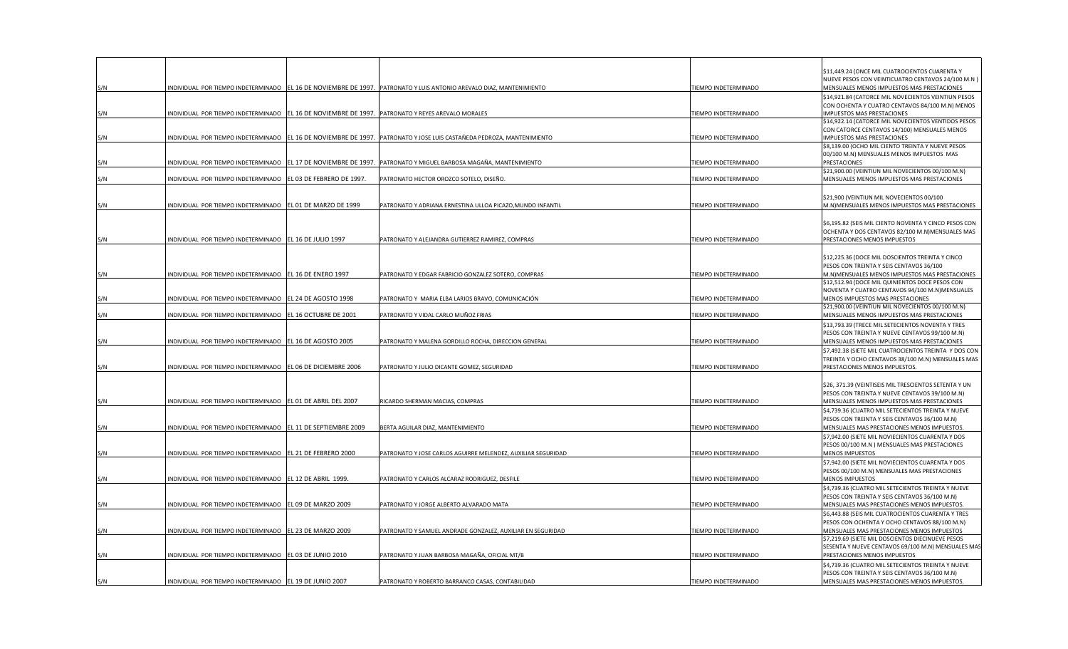|     |                                                                                                   |                            |                                                                                                                       |                      | \$11,449.24 (ONCE MIL CUATROCIENTOS CUARENTA Y                                  |
|-----|---------------------------------------------------------------------------------------------------|----------------------------|-----------------------------------------------------------------------------------------------------------------------|----------------------|---------------------------------------------------------------------------------|
|     |                                                                                                   |                            |                                                                                                                       |                      | NUEVE PESOS CON VEINTICUATRO CENTAVOS 24/100 M.N )                              |
| S/N |                                                                                                   |                            | INDIVIDUAL POR TIEMPO INDETERMINADO  EL 16 DE NOVIEMBRE DE 1997. PATRONATO Y LUIS ANTONIO AREVALO DIAZ, MANTENIMIENTO | TIEMPO INDETERMINADO | MENSUALES MENOS IMPUESTOS MAS PRESTACIONES                                      |
|     |                                                                                                   |                            |                                                                                                                       |                      | \$14,921.84 (CATORCE MIL NOVECIENTOS VEINTIUN PESOS                             |
|     |                                                                                                   |                            |                                                                                                                       |                      | CON OCHENTA Y CUATRO CENTAVOS 84/100 M.N) MENOS                                 |
| S/N | INDIVIDUAL POR TIEMPO INDETERMINADO EL 16 DE NOVIEMBRE DE 1997. PATRONATO Y REYES AREVALO MORALES |                            |                                                                                                                       | TIEMPO INDETERMINADO | IMPUESTOS MAS PRESTACIONES                                                      |
|     |                                                                                                   |                            |                                                                                                                       |                      | \$14,922.14 (CATORCE MIL NOVECIENTOS VENTIDOS PESOS                             |
|     |                                                                                                   |                            |                                                                                                                       |                      | CON CATORCE CENTAVOS 14/100) MENSUALES MENOS                                    |
| S/N | INDIVIDUAL POR TIEMPO INDETERMINADO                                                               |                            | EL 16 DE NOVIEMBRE DE 1997. PATRONATO Y JOSE LUIS CASTAÑEDA PEDROZA, MANTENIMIENTO                                    | TIEMPO INDETERMINADO | IMPUESTOS MAS PRESTACIONES<br>\$8,139.00 (OCHO MIL CIENTO TREINTA Y NUEVE PESOS |
|     |                                                                                                   |                            |                                                                                                                       |                      | 00/100 M.N) MENSUALES MENOS IMPUESTOS MAS                                       |
| S/N |                                                                                                   |                            | INDIVIDUAL POR TIEMPO INDETERMINADO PEL 17 DE NOVIEMBRE DE 1997. PATRONATO Y MIGUEL BARBOSA MAGAÑA, MANTENIMIENTO     | TIEMPO INDETERMINADO | PRESTACIONES                                                                    |
|     |                                                                                                   |                            |                                                                                                                       |                      | \$21,900.00 (VEINTIUN MIL NOVECIENTOS 00/100 M.N)                               |
| S/N | INDIVIDUAL POR TIEMPO INDETERMINADO                                                               | EL 03 DE FEBRERO DE 1997.  | PATRONATO HECTOR OROZCO SOTELO, DISEÑO.                                                                               | TIEMPO INDETERMINADO | MENSUALES MENOS IMPUESTOS MAS PRESTACIONES                                      |
|     |                                                                                                   |                            |                                                                                                                       |                      |                                                                                 |
|     |                                                                                                   |                            |                                                                                                                       |                      | \$21,900 (VEINTIUN MIL NOVECIENTOS 00/100                                       |
| S/N | INDIVIDUAL POR TIEMPO INDETERMINADO EL 01 DE MARZO DE 1999                                        |                            | PATRONATO Y ADRIANA ERNESTINA ULLOA PICAZO, MUNDO INFANTIL                                                            | TIEMPO INDETERMINADO | M.N) MENSUALES MENOS IMPUESTOS MAS PRESTACIONES                                 |
|     |                                                                                                   |                            |                                                                                                                       |                      |                                                                                 |
|     |                                                                                                   |                            |                                                                                                                       |                      | \$6,195.82 (SEIS MIL CIENTO NOVENTA Y CINCO PESOS CON                           |
|     |                                                                                                   |                            |                                                                                                                       |                      | OCHENTA Y DOS CENTAVOS 82/100 M.N) MENSUALES MAS                                |
| S/N | INDIVIDUAL POR TIEMPO INDETERMINADO EL 16 DE JULIO 1997                                           |                            | PATRONATO Y ALEJANDRA GUTIERREZ RAMIREZ, COMPRAS                                                                      | TIEMPO INDETERMINADO | PRESTACIONES MENOS IMPUESTOS                                                    |
|     |                                                                                                   |                            |                                                                                                                       |                      |                                                                                 |
|     |                                                                                                   |                            |                                                                                                                       |                      | \$12,225.36 (DOCE MIL DOSCIENTOS TREINTA Y CINCO                                |
|     |                                                                                                   |                            |                                                                                                                       |                      | PESOS CON TREINTA Y SEIS CENTAVOS 36/100                                        |
| S/N | INDIVIDUAL POR TIEMPO INDETERMINADO EL 16 DE ENERO 1997                                           |                            | PATRONATO Y EDGAR FABRICIO GONZALEZ SOTERO, COMPRAS                                                                   | TIEMPO INDETERMINADO | M.N)MENSUALES MENOS IMPUESTOS MAS PRESTACIONES                                  |
|     |                                                                                                   |                            |                                                                                                                       |                      | \$12,512.94 (DOCE MIL QUINIENTOS DOCE PESOS CON                                 |
|     |                                                                                                   |                            |                                                                                                                       |                      | NOVENTA Y CUATRO CENTAVOS 94/100 M.N) MENSUALES                                 |
| S/N | INDIVIDUAL POR TIEMPO INDETERMINADO EL 24 DE AGOSTO 1998                                          |                            | PATRONATO Y MARIA ELBA LARIOS BRAVO, COMUNICACIÓN                                                                     | TIEMPO INDETERMINADO | MENOS IMPUESTOS MAS PRESTACIONES                                                |
|     |                                                                                                   |                            |                                                                                                                       |                      | \$21,900.00 (VEINTIUN MIL NOVECIENTOS 00/100 M.N)                               |
| S/N | INDIVIDUAL POR TIEMPO INDETERMINADO                                                               | EL 16 OCTUBRE DE 2001      | PATRONATO Y VIDAL CARLO MUÑOZ FRIAS                                                                                   | TIEMPO INDETERMINADO | MENSUALES MENOS IMPUESTOS MAS PRESTACIONES                                      |
|     |                                                                                                   |                            |                                                                                                                       |                      | \$13,793.39 (TRECE MIL SETECIENTOS NOVENTA Y TRES                               |
|     |                                                                                                   |                            |                                                                                                                       |                      | PESOS CON TREINTA Y NUEVE CENTAVOS 99/100 M.N)                                  |
| S/N | INDIVIDUAL POR TIEMPO INDETERMINADO EL 16 DE AGOSTO 2005                                          |                            | PATRONATO Y MALENA GORDILLO ROCHA, DIRECCION GENERAL                                                                  | TIEMPO INDETERMINADO | MENSUALES MENOS IMPUESTOS MAS PRESTACIONES                                      |
|     |                                                                                                   |                            |                                                                                                                       |                      | \$7,492.38 (SIETE MIL CUATROCIENTOS TREINTA Y DOS CON                           |
|     |                                                                                                   |                            |                                                                                                                       |                      | TREINTA Y OCHO CENTAVOS 38/100 M.N) MENSUALES MAS                               |
| S/N | INDIVIDUAL POR TIEMPO INDETERMINADO EL 06 DE DICIEMBRE 2006                                       |                            | PATRONATO Y JULIO DICANTE GOMEZ, SEGURIDAD                                                                            | TIEMPO INDETERMINADO | PRESTACIONES MENOS IMPUESTOS.                                                   |
|     |                                                                                                   |                            |                                                                                                                       |                      |                                                                                 |
|     |                                                                                                   |                            |                                                                                                                       |                      | \$26, 371.39 (VEINTISEIS MIL TRESCIENTOS SETENTA Y UN                           |
|     |                                                                                                   |                            |                                                                                                                       |                      | PESOS CON TREINTA Y NUEVE CENTAVOS 39/100 M.N)                                  |
| S/N | INDIVIDUAL POR TIEMPO INDETERMINADO EL 01 DE ABRIL DEL 2007                                       |                            | RICARDO SHERMAN MACIAS, COMPRAS                                                                                       | TIEMPO INDETERMINADO | MENSUALES MENOS IMPUESTOS MAS PRESTACIONES                                      |
|     |                                                                                                   |                            |                                                                                                                       |                      | \$4,739.36 (CUATRO MIL SETECIENTOS TREINTA Y NUEVE                              |
|     |                                                                                                   |                            |                                                                                                                       |                      | PESOS CON TREINTA Y SEIS CENTAVOS 36/100 M.N)                                   |
| S/N | INDIVIDUAL POR TIEMPO INDETERMINADO EL 11 DE SEPTIEMBRE 2009                                      |                            | BERTA AGUILAR DIAZ, MANTENIMIENTO                                                                                     | TIEMPO INDETERMINADO | MENSUALES MAS PRESTACIONES MENOS IMPUESTOS.                                     |
|     |                                                                                                   |                            |                                                                                                                       |                      | \$7,942.00 (SIETE MIL NOVIECIENTOS CUARENTA Y DOS                               |
|     |                                                                                                   |                            |                                                                                                                       |                      | PESOS 00/100 M.N ) MENSUALES MAS PRESTACIONES                                   |
| 5/N | INDIVIDUAL POR TIEMPO INDETERMINADO EL 21 DE FEBRERO 2000                                         |                            | PATRONATO Y JOSE CARLOS AGUIRRE MELENDEZ, AUXILIAR SEGURIDAD                                                          | TIEMPO INDETERMINADO | <b>MENOS IMPUESTOS</b>                                                          |
|     |                                                                                                   |                            |                                                                                                                       |                      | \$7,942.00 (SIETE MIL NOVIECIENTOS CUARENTA Y DOS                               |
|     |                                                                                                   |                            |                                                                                                                       |                      | PESOS 00/100 M.N) MENSUALES MAS PRESTACIONES                                    |
| S/N | INDIVIDUAL POR TIEMPO INDETERMINADO EL 12 DE ABRIL 1999.                                          |                            | PATRONATO Y CARLOS ALCARAZ RODRIGUEZ, DESFILE                                                                         | TIEMPO INDETERMINADO | <b>MENOS IMPUESTOS</b>                                                          |
|     |                                                                                                   |                            |                                                                                                                       |                      | \$4,739.36 (CUATRO MIL SETECIENTOS TREINTA Y NUEVE                              |
|     |                                                                                                   |                            |                                                                                                                       |                      | PESOS CON TREINTA Y SEIS CENTAVOS 36/100 M.N)                                   |
| S/N | INDIVIDUAL POR TIEMPO INDETERMINADO EL 09 DE MARZO 2009                                           |                            | PATRONATO Y JORGE ALBERTO ALVARADO MATA                                                                               | TIEMPO INDETERMINADO | MENSUALES MAS PRESTACIONES MENOS IMPUESTOS                                      |
|     |                                                                                                   |                            |                                                                                                                       |                      | \$6,443.88 (SEIS MIL CUATROCIENTOS CUARENTA Y TRES                              |
|     |                                                                                                   |                            |                                                                                                                       |                      | PESOS CON OCHENTA Y OCHO CENTAVOS 88/100 M.N)                                   |
| 5/N | INDIVIDUAL POR TIEMPO INDETERMINADO EL 23 DE MARZO 2009                                           |                            | PATRONATO Y SAMUEL ANDRADE GONZALEZ, AUXILIAR EN SEGURIDAD                                                            | TIEMPO INDETERMINADO | MENSUALES MAS PRESTACIONES MENOS IMPUESTOS                                      |
|     |                                                                                                   |                            |                                                                                                                       |                      | \$7,219.69 (SIETE MIL DOSCIENTOS DIECINUEVE PESOS                               |
|     |                                                                                                   |                            |                                                                                                                       |                      | SESENTA Y NUEVE CENTAVOS 69/100 M.N) MENSUALES MAS                              |
| S/N | INDIVIDUAL POR TIEMPO INDETERMINADO                                                               | <b>EL 03 DE JUNIO 2010</b> | PATRONATO Y JUAN BARBOSA MAGAÑA, OFICIAL MT/B                                                                         | TIEMPO INDETERMINADO | PRESTACIONES MENOS IMPUESTOS                                                    |
|     |                                                                                                   |                            |                                                                                                                       |                      | \$4,739.36 (CUATRO MIL SETECIENTOS TREINTA Y NUEVE                              |
|     |                                                                                                   |                            |                                                                                                                       |                      | PESOS CON TREINTA Y SEIS CENTAVOS 36/100 M.N)                                   |
| S/N | INDIVIDUAL POR TIEMPO INDETERMINADO EL 19 DE JUNIO 2007                                           |                            | PATRONATO Y ROBERTO BARRANCO CASAS, CONTABILIDAD                                                                      | TIEMPO INDETERMINADO | MENSUALES MAS PRESTACIONES MENOS IMPUESTOS.                                     |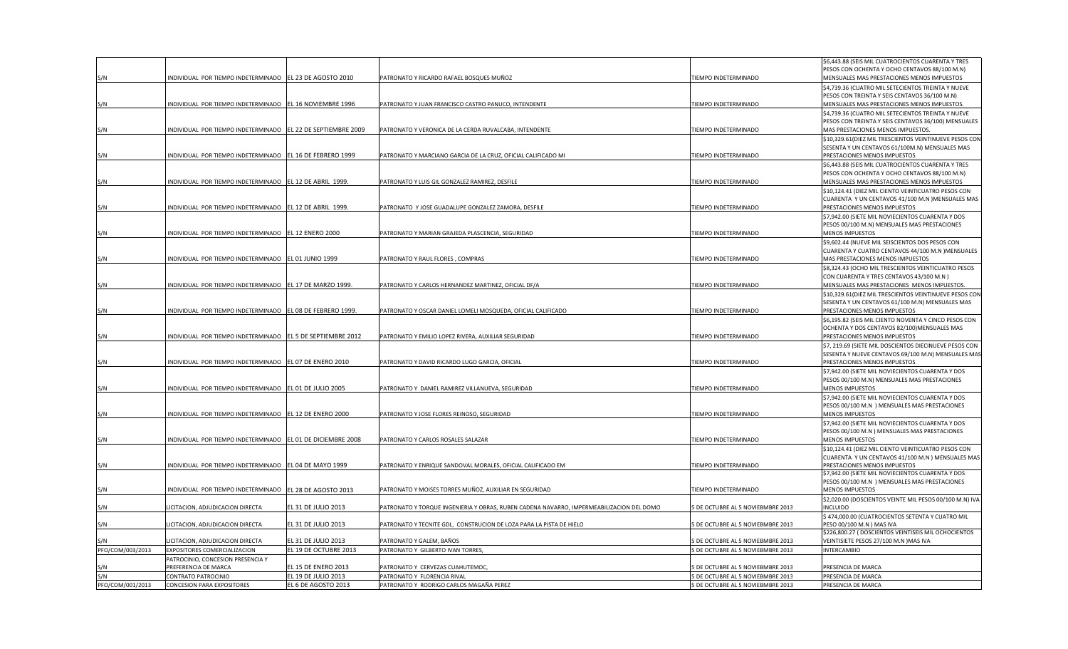|                  |                                                             |                                            |                                                                                          |                                                                      | \$6,443.88 (SEIS MIL CUATROCIENTOS CUARENTA Y TRES                                                        |
|------------------|-------------------------------------------------------------|--------------------------------------------|------------------------------------------------------------------------------------------|----------------------------------------------------------------------|-----------------------------------------------------------------------------------------------------------|
| S/N              | INDIVIDUAL POR TIEMPO INDETERMINADO                         | EL 23 DE AGOSTO 2010                       | PATRONATO Y RICARDO RAFAEL BOSQUES MUÑOZ                                                 | IEMPO INDETERMINADO                                                  | PESOS CON OCHENTA Y OCHO CENTAVOS 88/100 M.N)<br>MENSUALES MAS PRESTACIONES MENOS IMPUESTOS               |
|                  |                                                             |                                            |                                                                                          |                                                                      | \$4,739.36 (CUATRO MIL SETECIENTOS TREINTA Y NUEVE                                                        |
|                  |                                                             |                                            |                                                                                          |                                                                      | PESOS CON TREINTA Y SEIS CENTAVOS 36/100 M.N)                                                             |
| S/N              | INDIVIDUAL POR TIEMPO INDETERMINADO EL 16 NOVIEMBRE 1996    |                                            | PATRONATO Y JUAN FRANCISCO CASTRO PANUCO, INTENDENTE                                     | IEMPO INDETERMINADO                                                  | MENSUALES MAS PRESTACIONES MENOS IMPUESTOS.                                                               |
|                  |                                                             |                                            |                                                                                          |                                                                      | \$4,739.36 (CUATRO MIL SETECIENTOS TREINTA Y NUEVE                                                        |
| S/N              | NDIVIDUAL POR TIEMPO INDETERMINADO EL 22 DE SEPTIEMBRE 2009 |                                            | PATRONATO Y VERONICA DE LA CERDA RUVALCABA, INTENDENTE                                   | IEMPO INDETERMINADO                                                  | PESOS CON TREINTA Y SEIS CENTAVOS 36/100) MENSUALES<br>MAS PRESTACIONES MENOS IMPUESTOS.                  |
|                  |                                                             |                                            |                                                                                          |                                                                      | \$10,329.61(DIEZ MIL TRESCIENTOS VEINTINUEVE PESOS COI                                                    |
|                  |                                                             |                                            |                                                                                          |                                                                      | SESENTA Y UN CENTAVOS 61/100M.N) MENSUALES MAS                                                            |
| S/N              | INDIVIDUAL POR TIEMPO INDETERMINADO EL 16 DE FEBRERO 1999   |                                            | PATRONATO Y MARCIANO GARCIA DE LA CRUZ, OFICIAL CALIFICADO MI                            | IEMPO INDETERMINADO                                                  | PRESTACIONES MENOS IMPUESTOS                                                                              |
|                  |                                                             |                                            |                                                                                          |                                                                      | \$6,443.88 (SEIS MIL CUATROCIENTOS CUARENTA Y TRES                                                        |
| S/N              | INDIVIDUAL POR TIEMPO INDETERMINADO EL 12 DE ABRIL 1999.    |                                            | PATRONATO Y LUIS GIL GONZALEZ RAMIREZ, DESFILE                                           | IEMPO INDETERMINADO                                                  | PESOS CON OCHENTA Y OCHO CENTAVOS 88/100 M.N)<br>MENSUALES MAS PRESTACIONES MENOS IMPUESTOS               |
|                  |                                                             |                                            |                                                                                          |                                                                      | \$10,124.41 (DIEZ MIL CIENTO VEINTICUATRO PESOS CON                                                       |
|                  |                                                             |                                            |                                                                                          |                                                                      | CUARENTA Y UN CENTAVOS 41/100 M.N )MENSUALES MAS                                                          |
| S/N              | INDIVIDUAL POR TIEMPO INDETERMINADO EL 12 DE ABRIL 1999.    |                                            | PATRONATO Y JOSE GUADALUPE GONZALEZ ZAMORA, DESFILE                                      | IEMPO INDETERMINADO                                                  | PRESTACIONES MENOS IMPUESTOS                                                                              |
|                  |                                                             |                                            |                                                                                          |                                                                      | \$7,942.00 (SIETE MIL NOVIECIENTOS CUARENTA Y DOS                                                         |
|                  |                                                             |                                            |                                                                                          |                                                                      | PESOS 00/100 M.N) MENSUALES MAS PRESTACIONES                                                              |
| S/N              | INDIVIDUAL POR TIEMPO INDETERMINADO EL 12 ENERO 2000        |                                            | PATRONATO Y MARIAN GRAJEDA PLASCENCIA, SEGURIDAD                                         | EMPO INDETERMINADO                                                   | <b>MENOS IMPUESTOS</b>                                                                                    |
|                  |                                                             |                                            |                                                                                          |                                                                      | \$9,602.44 (NUEVE MIL SEISCIENTOS DOS PESOS CON<br>CUARENTA Y CUATRO CENTAVOS 44/100 M.N ) MENSUALES      |
| S/N              | INDIVIDUAL POR TIEMPO INDETERMINADO                         | EL 01 JUNIO 1999                           | PATRONATO Y RAUL FLORES, COMPRAS                                                         | EMPO INDETERMINADO                                                   | MAS PRESTACIONES MENOS IMPUESTOS                                                                          |
|                  |                                                             |                                            |                                                                                          |                                                                      | \$8,324.43 (OCHO MIL TRESCIENTOS VEINTICUATRO PESOS                                                       |
|                  |                                                             |                                            |                                                                                          |                                                                      | CON CUARENTA Y TRES CENTAVOS 43/100 M.N )                                                                 |
| S/N              | INDIVIDUAL POR TIEMPO INDETERMINADO                         | EL 17 DE MARZO 1999.                       | PATRONATO Y CARLOS HERNANDEZ MARTINEZ, OFICIAL DF/A                                      | IEMPO INDETERMINADO                                                  | MENSUALES MAS PRESTACIONES MENOS IMPUESTOS.                                                               |
|                  |                                                             |                                            |                                                                                          |                                                                      | \$10,329.61(DIEZ MIL TRESCIENTOS VEINTINUEVE PESOS COI<br>SESENTA Y UN CENTAVOS 61/100 M.N) MENSUALES MAS |
| S/N              | INDIVIDUAL POR TIEMPO INDETERMINADO                         | EL 08 DE FEBRERO 1999.                     | PATRONATO Y OSCAR DANIEL LOMELI MOSQUEDA, OFICIAL CALIFICADO                             | IEMPO INDETERMINADO                                                  | PRESTACIONES MENOS IMPUESTOS                                                                              |
|                  |                                                             |                                            |                                                                                          |                                                                      | \$6,195.82 (SEIS MIL CIENTO NOVENTA Y CINCO PESOS CON                                                     |
|                  |                                                             |                                            |                                                                                          |                                                                      | OCHENTA Y DOS CENTAVOS 82/100) MENSUALES MAS                                                              |
| S/N              | INDIVIDUAL POR TIEMPO INDETERMINADO EL 5 DE SEPTIEMBRE 2012 |                                            | PATRONATO Y EMILIO LOPEZ RIVERA, AUXILIAR SEGURIDAD                                      | EMPO INDETERMINADO                                                   | PRESTACIONES MENOS IMPUESTOS                                                                              |
|                  |                                                             |                                            |                                                                                          |                                                                      | \$7, 219.69 (SIETE MIL DOSCIENTOS DIECINUEVE PESOS CON                                                    |
| S/N              | INDIVIDUAL POR TIEMPO INDETERMINADO                         | EL 07 DE ENERO 2010                        | PATRONATO Y DAVID RICARDO LUGO GARCIA, OFICIAL                                           | IEMPO INDETERMINADO                                                  | SESENTA Y NUEVE CENTAVOS 69/100 M.N) MENSUALES MAS<br>PRESTACIONES MENOS IMPUESTOS                        |
|                  |                                                             |                                            |                                                                                          |                                                                      | \$7,942.00 (SIETE MIL NOVIECIENTOS CUARENTA Y DOS                                                         |
|                  |                                                             |                                            |                                                                                          |                                                                      | PESOS 00/100 M.N) MENSUALES MAS PRESTACIONES                                                              |
| S/N              | INDIVIDUAL POR TIEMPO INDETERMINADO                         | L 01 DE JULIO 2005                         | PATRONATO Y DANIEL RAMIREZ VILLANUEVA, SEGURIDAD                                         | EMPO INDETERMINADO                                                   | <b>MENOS IMPUESTOS</b>                                                                                    |
|                  |                                                             |                                            |                                                                                          |                                                                      | \$7,942.00 (SIETE MIL NOVIECIENTOS CUARENTA Y DOS                                                         |
| S/N              | INDIVIDUAL POR TIEMPO INDETERMINADO                         | <b>EL 12 DE ENERO 2000</b>                 | PATRONATO Y JOSE FLORES REINOSO, SEGURIDAD                                               | IEMPO INDETERMINADO                                                  | PESOS 00/100 M.N ) MENSUALES MAS PRESTACIONES<br><b>MENOS IMPUESTOS</b>                                   |
|                  |                                                             |                                            |                                                                                          |                                                                      | \$7,942.00 (SIETE MIL NOVIECIENTOS CUARENTA Y DOS                                                         |
|                  |                                                             |                                            |                                                                                          |                                                                      | PESOS 00/100 M.N ) MENSUALES MAS PRESTACIONES                                                             |
| S/N              | INDIVIDUAL POR TIEMPO INDETERMINADO EL 01 DE DICIEMBRE 2008 |                                            | PATRONATO Y CARLOS ROSALES SALAZAR                                                       | IEMPO INDETERMINADO                                                  | MENOS IMPUESTOS                                                                                           |
|                  |                                                             |                                            |                                                                                          |                                                                      | \$10,124.41 (DIEZ MIL CIENTO VEINTICUATRO PESOS CON                                                       |
| S/N              | INDIVIDUAL POR TIEMPO INDETERMINADO                         | EL 04 DE MAYO 1999                         | PATRONATO Y ENRIQUE SANDOVAL MORALES, OFICIAL CALIFICADO EM                              |                                                                      | CUARENTA Y UN CENTAVOS 41/100 M.N ) MENSUALES MAS<br>PRESTACIONES MENOS IMPUESTOS                         |
|                  |                                                             |                                            |                                                                                          | IEMPO INDETERMINADO                                                  | \$7,942.00 (SIETE MIL NOVIECIENTOS CUARENTA Y DOS                                                         |
|                  |                                                             |                                            |                                                                                          |                                                                      | PESOS 00/100 M.N ) MENSUALES MAS PRESTACIONES                                                             |
| S/N              | INDIVIDUAL POR TIEMPO INDETERMINADO EL 28 DE AGOSTO 2013    |                                            | PATRONATO Y MOISES TORRES MUÑOZ, AUXILIAR EN SEGURIDAD                                   | IEMPO INDETERMINADO                                                  | MENOS IMPUESTOS                                                                                           |
|                  |                                                             |                                            |                                                                                          |                                                                      | \$2,020.00 (DOSCIENTOS VEINTE MIL PESOS 00/100 M.N) IVA                                                   |
| S/N              | ICITACION, ADJUDICACION DIRECTA                             | <b>EL 31 DE JULIO 2013</b>                 | PATRONATO Y TORQUE INGENIERIA Y OBRAS, RUBEN CADENA NAVARRO, IMPERMEABILIZACION DEL DOMC | DE OCTUBRE AL 5 NOVIEBMBRE 2013                                      | INCLUIDO                                                                                                  |
| S/N              | ICITACION, ADJUDICACION DIRECTA                             | EL 31 DE JULIO 2013                        | PATRONATO Y TECNITE GDL, CONSTRUCION DE LOZA PARA LA PISTA DE HIELO                      | DE OCTUBRE AL 5 NOVIEBMBRE 2013                                      | \$ 474,000.00 (CUATROCIENTOS SETENTA Y CUATRO MIL<br>PESO 00/100 M.N ) MAS IVA                            |
|                  |                                                             |                                            |                                                                                          |                                                                      | \$226,800.27 (DOSCIENTOS VEINTISEIS MIL OCHOCIENTOS                                                       |
| S/N              | ICITACION, ADJUDICACION DIRECTA                             | EL 31 DE JULIO 2013                        | PATRONATO Y GALEM, BAÑOS                                                                 | <b>DE OCTUBRE AL 5 NOVIEBMBRE 2013</b>                               | VEINTISIETE PESOS 27/100 M.N ) MAS IVA                                                                    |
| PFO/COM/003/2013 | EXPOSITORES COMERCIALIZACION                                | EL 19 DE OCTUBRE 2013                      | PATRONATO Y GILBERTO IVAN TORRES,                                                        | DE OCTUBRE AL 5 NOVIEBMBRE 2013                                      | <b>INTERCAMBIO</b>                                                                                        |
|                  | PATROCINIO, CONCESION PRESENCIA Y                           |                                            |                                                                                          |                                                                      |                                                                                                           |
| S/N<br>S/N       | PREFERENCIA DE MARCA<br>CONTRATO PATROCINIO                 | LL 15 DE ENERO 2013<br>EL 19 DE JULIO 2013 | PATRONATO Y CERVEZAS CUAHUTEMOC,<br>PATRONATO Y FLORENCIA RIVAL                          | DE OCTUBRE AL 5 NOVIEBMBRE 2013<br>5 DE OCTUBRE AL 5 NOVIEBMBRE 2013 | PRESENCIA DE MARCA<br>PRESENCIA DE MARCA                                                                  |
| PFO/COM/001/2013 | <b>CONCESION PARA EXPOSITORES</b>                           | EL 6 DE AGOSTO 2013                        | PATRONATO Y RODRIGO CARLOS MAGAÑA PEREZ                                                  | 5 DE OCTUBRE AL 5 NOVIEBMBRE 2013                                    | PRESENCIA DE MARCA                                                                                        |
|                  |                                                             |                                            |                                                                                          |                                                                      |                                                                                                           |